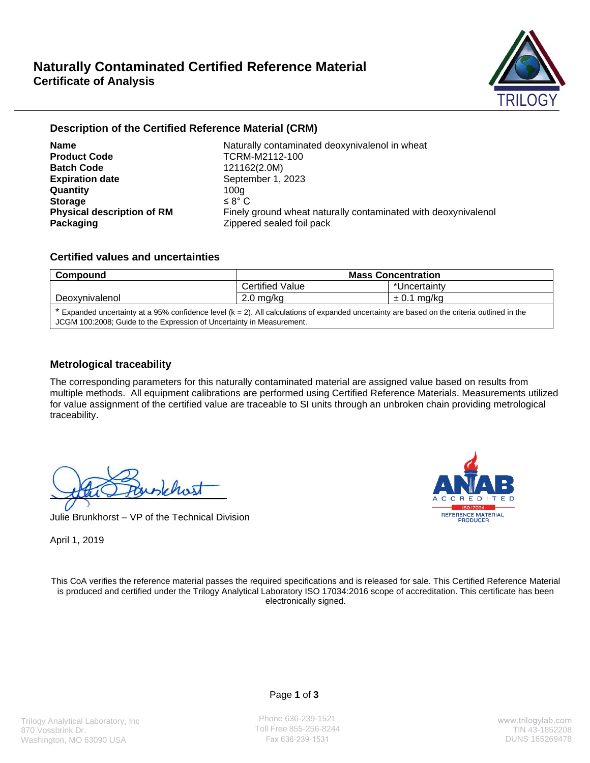

# **Description of the Certified Reference Material (CRM)**

**Product Code** TCRM-M2112-100 **Batch Code** 121162(2.0M) **Expiration date** September 1, 2023 **Quantity** 100g **Storage**  $\leq 8^{\circ}$  C **Packaging**   $\qquad \qquad$  **Zippered sealed foil pack** 

**Name** Naturally contaminated deoxynivalenol in wheat **Physical description of RM** Finely ground wheat naturally contaminated with deoxynivalenol

# **Certified values and uncertainties**

| Compound       | <b>Mass Concentration</b> |              |  |
|----------------|---------------------------|--------------|--|
|                | Certified Value           | *Uncertainty |  |
| Deoxynivalenol | ma/ka<br>2.0              | ma/ka        |  |

\* Expanded uncertainty at a 95% confidence level (k = 2). All calculations of expanded uncertainty are based on the criteria outlined in the JCGM 100:2008; Guide to the Expression of Uncertainty in Measurement.

# **Metrological traceability**

The corresponding parameters for this naturally contaminated material are assigned value based on results from multiple methods. All equipment calibrations are performed using Certified Reference Materials. Measurements utilized for value assignment of the certified value are traceable to SI units through an unbroken chain providing metrological traceability.

the faischast

Julie Brunkhorst – VP of the Technical Division



April 1, 2019

This CoA verifies the reference material passes the required specifications and is released for sale. This Certified Reference Material is produced and certified under the Trilogy Analytical Laboratory ISO 17034:2016 scope of accreditation. This certificate has been electronically signed.

Page **1** of **3**

Phone 636-239-1521 Toll Free 855-256-8244 TIN 43-1852208<br>Fax 636-239-1531 Tin 43-185269478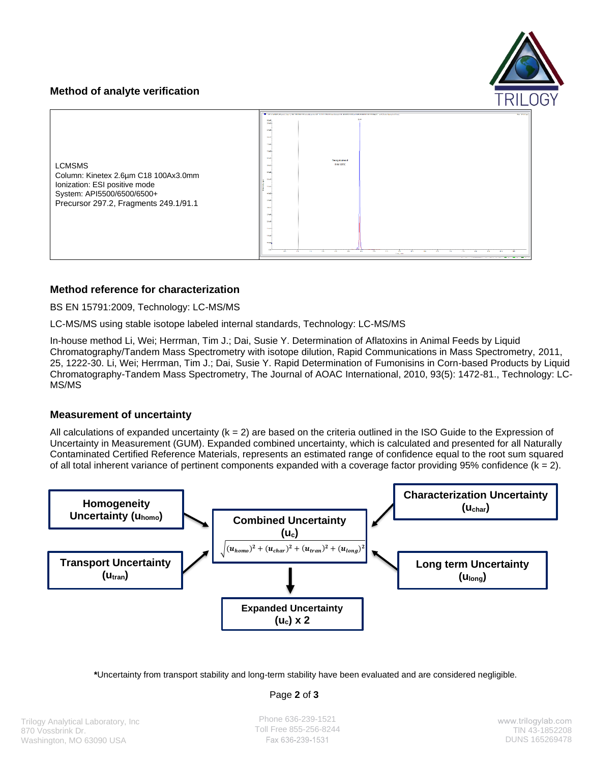# **Method of analyte verification**



# **Method reference for characterization**

BS EN 15791:2009, Technology: LC-MS/MS

LC-MS/MS using stable isotope labeled internal standards, Technology: LC-MS/MS

In-house method Li, Wei; Herrman, Tim J.; Dai, Susie Y. Determination of Aflatoxins in Animal Feeds by Liquid Chromatography/Tandem Mass Spectrometry with isotope dilution, Rapid Communications in Mass Spectrometry, 2011, 25, 1222-30. Li, Wei; Herrman, Tim J.; Dai, Susie Y. Rapid Determination of Fumonisins in Corn-based Products by Liquid Chromatography-Tandem Mass Spectrometry, The Journal of AOAC International, 2010, 93(5): 1472-81., Technology: LC-MS/MS

## **Measurement of uncertainty**

All calculations of expanded uncertainty  $(k = 2)$  are based on the criteria outlined in the ISO Guide to the Expression of Uncertainty in Measurement (GUM). Expanded combined uncertainty, which is calculated and presented for all Naturally Contaminated Certified Reference Materials, represents an estimated range of confidence equal to the root sum squared of all total inherent variance of pertinent components expanded with a coverage factor providing 95% confidence  $(k = 2)$ .



**\***Uncertainty from transport stability and long-term stability have been evaluated and are considered negligible.

Page **2** of **3**